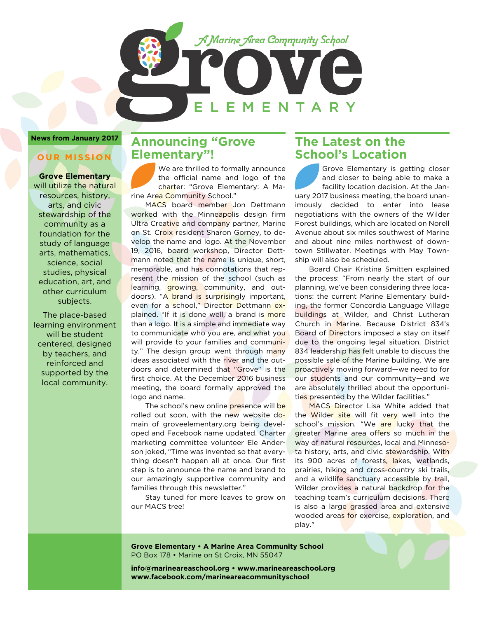

#### **News from January 2017**

## **OUR MISSION**

**Grove Elementary** will utilize the natural resources, history, arts, and civic stewardship of the community as a foundation for the study of language arts, mathematics, science, social studies, physical education, art, and other curriculum subjects.

The place-based learning environment will be student centered, designed by teachers, and reinforced and supported by the local community.

## **Announcing "Grove Elementary"!**

We are thrilled to formally announce the official name and logo of the charter: "Grove Elementary: A Marine Area Community School."

 MACS board member Jon Dettmann worked with the Minneapolis design firm Ultra Creative and company partner, Marine on St. Croix resident Sharon Gorney, to develop the name and logo. At the November 19, 2016, board workshop, Director Dettmann noted that the name is unique, short, memorable, and has connotations that represent the mission of the school (such as learning, growing, community, and outdoors). "A brand is surprisingly important, even for a school," Director Dettmann explained. "If it is done well, a brand is more than a logo. It is a simple and immediate way to communicate who you are, and what you will provide to your families and community." The design group went through many ideas associated with the river and the outdoors and determined that "Grove" is the first choice. At the December 2016 business meeting, the board formally approved the logo and name.

The school's new online **presence will be** rolled out soon, with the new website domain of groveelementary.org being developed and Facebook name updated. Charter marketing committee volunteer Ele Anderson joked, "Time was invented so that everything doesn't happen all at once. Our first step is to announce the name and brand to our amazingly supportive community and families through this newsletter."

 Stay tuned for more leaves to grow on our MACS tree!

## **The Latest on the School's Location**

Grove Elementary is getting closer and closer to being able to make a facility location decision. At the January 2017 business meeting, the board unanimously decided to enter into lease negotiations with the owners of the Wilder Forest buildings, which are located on Norell Avenue about six miles southwest of Marine and about nine miles northwest of downtown Stillwater. Meetings with May Township will also be scheduled.

 Board Chair Kristina Smitten explained the process: "From nearly the start of our planning, we've been considering three locations: the current Marine Elementary building, the former Concordia Language Village buildings at Wilder, and Christ Lutheran Church in Marine. Because District 834's Board of **Directors** imposed a stay on itself due to the ongoing legal situation, District 834 leadership has felt unable to discuss the possible sale of the Marine building. We are proactively moving forward—we need to for our students and our community—and we are absolutely thrilled about the opportunities presented by the Wilder facilities."

 MACS Director Lisa White added that the Wilder site will fit very well into the school's mission. "We are lucky that the greater Marine area offers so much in the way of natural resources, local and Minnesota history, arts, and civic stewardship. With its 900 acres of forests, lakes, wetlands, prairies, hiking and cross-country ski trails, and a wildlife sanctuary accessible by trail, Wilder provides a natural backdrop for the teaching team's curriculum decisions. There is also a large grassed area and extensive wooded areas for exercise, exploration, and play."

**Grove Elementary • A Marine Area Community School** PO Box 178 • Marine on St Croix, MN 55047

**info@marineareaschool.org • www.marineareaschool.org www.facebook.com/marineareacommunityschool**